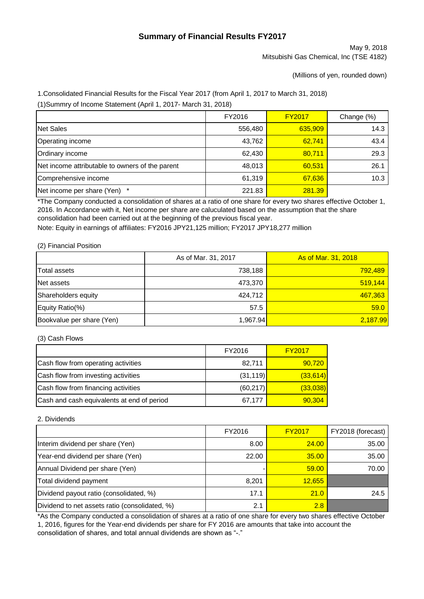# **Summary of Financial Results FY2017**

May 9, 2018 Mitsubishi Gas Chemical, Inc (TSE 4182)

(Millions of yen, rounded down)

1.Consolidated Financial Results for the Fiscal Year 2017 (from April 1, 2017 to March 31, 2018)

(1)Summry of Income Statement (April 1, 2017- March 31, 2018)

|                                                 | FY2016  | <b>FY2017</b> | Change (%) |
|-------------------------------------------------|---------|---------------|------------|
| Net Sales                                       | 556,480 | 635,909       | 14.3       |
| Operating income                                | 43,762  | 62,741        | 43.4       |
| Ordinary income                                 | 62,430  | 80,711        | 29.3       |
| Net income attributable to owners of the parent | 48,013  | 60,531        | 26.1       |
| Comprehensive income                            | 61,319  | 67,636        | 10.3       |
| Net income per share (Yen) *                    | 221.83  | 281.39        |            |

\*The Company conducted a consolidation of shares at a ratio of one share for every two shares effective October 1, 2016. In Accordance with it, Net income per share are caluculated based on the assumption that the share consolidation had been carried out at the beginning of the previous fiscal year.

Note: Equity in earnings of affiliates: FY2016 JPY21,125 million; FY2017 JPY18,277 million

#### (2) Financial Position

|                           | As of Mar. 31, 2017 | As of Mar. 31, 2018 |
|---------------------------|---------------------|---------------------|
| <b>Total assets</b>       | 738,188             | 792.489             |
| Net assets                | 473,370             | 519,144             |
| Shareholders equity       | 424.712             | 467,363             |
| Equity Ratio(%)           | 57.5                | 59.0                |
| Bookvalue per share (Yen) | 1.967.94            | 2,187.99            |

(3) Cash Flows

|                                            | FY2016    | <b>FY2017</b> |
|--------------------------------------------|-----------|---------------|
| Cash flow from operating activities        | 82,711    | 90,720        |
| Cash flow from investing activities        | (31, 119) | (33, 614)     |
| Cash flow from financing activities        | (60, 217) | (33,038)      |
| Cash and cash equivalents at end of period | 67,177    | 90,304        |

#### 2. Dividends

|                                                | FY2016 | <b>FY2017</b> | FY2018 (forecast) |
|------------------------------------------------|--------|---------------|-------------------|
| Interim dividend per share (Yen)               | 8.00   | 24.00         | 35.00             |
| Year-end dividend per share (Yen)              | 22.00  | 35.00         | 35.00             |
| Annual Dividend per share (Yen)                |        | 59.00         | 70.00             |
| Total dividend payment                         | 8,201  | 12,655        |                   |
| Dividend payout ratio (consolidated, %)        | 17.1   | 21.0          | 24.5              |
| Dividend to net assets ratio (consolidated, %) | 2.1    | 2.8           |                   |

\*As the Company conducted a consolidation of shares at a ratio of one share for every two shares effective October 1, 2016, figures for the Year-end dividends per share for FY 2016 are amounts that take into account the consolidation of shares, and total annual dividends are shown as "-."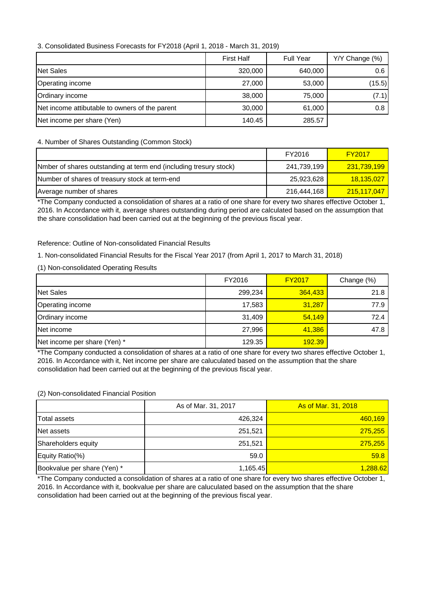## 3. Consolidated Business Forecasts for FY2018 (April 1, 2018 - March 31, 2019)

|                                                | <b>First Half</b> | <b>Full Year</b> | Y/Y Change (%) |
|------------------------------------------------|-------------------|------------------|----------------|
| <b>Net Sales</b>                               | 320,000           | 640,000          | 0.6            |
| Operating income                               | 27,000            | 53,000           | (15.5)         |
| Ordinary income                                | 38,000            | 75,000           | (7.1)          |
| Net income attibutable to owners of the parent | 30,000            | 61,000           | 0.8            |
| Net income per share (Yen)                     | 140.45            | 285.57           |                |

## 4. Number of Shares Outstanding (Common Stock)

|                                                                   | FY2016      | <b>FY2017</b>            |
|-------------------------------------------------------------------|-------------|--------------------------|
| Nmber of shares outstanding at term end (including tresury stock) | 241.739.199 | <mark>231,739,199</mark> |
| Number of shares of treasury stock at term-end                    | 25.923.628  | <u>18,135,027</u>        |
| Average number of shares                                          | 216,444,168 | 215,117,047              |

\*The Company conducted a consolidation of shares at a ratio of one share for every two shares effective October 1, 2016. In Accordance with it, average shares outstanding during period are calculated based on the assumption that the share consolidation had been carried out at the beginning of the previous fiscal year.

#### Reference: Outline of Non-consolidated Financial Results

1. Non-consolidated Financial Results for the Fiscal Year 2017 (from April 1, 2017 to March 31, 2018)

#### (1) Non-consolidated Operating Results

|                              | FY2016  | <b>FY2017</b> | Change (%) |
|------------------------------|---------|---------------|------------|
| <b>Net Sales</b>             | 299,234 | 364,433       | 21.8       |
| Operating income             | 17,583  | 31.287        | 77.9       |
| Ordinary income              | 31,409  | 54,149        | 72.4       |
| Net income                   | 27,996  | 41,386        | 47.8       |
| Net income per share (Yen) * | 129.35  | 192.39        |            |

\*The Company conducted a consolidation of shares at a ratio of one share for every two shares effective October 1, 2016. In Accordance with it, Net income per share are caluculated based on the assumption that the share consolidation had been carried out at the beginning of the previous fiscal year.

#### (2) Non-consolidated Financial Position

|                             | As of Mar. 31, 2017 | As of Mar. 31, 2018 |
|-----------------------------|---------------------|---------------------|
| Total assets                | 426,324             | 460,169             |
| Net assets                  | 251,521             | 275,255             |
| Shareholders equity         | 251,521             | 275,255             |
| Equity Ratio(%)             | 59.0                | 59.8                |
| Bookvalue per share (Yen) * | 1,165.45            | 1,288.62            |

\*The Company conducted a consolidation of shares at a ratio of one share for every two shares effective October 1, 2016. In Accordance with it, bookvalue per share are caluculated based on the assumption that the share consolidation had been carried out at the beginning of the previous fiscal year.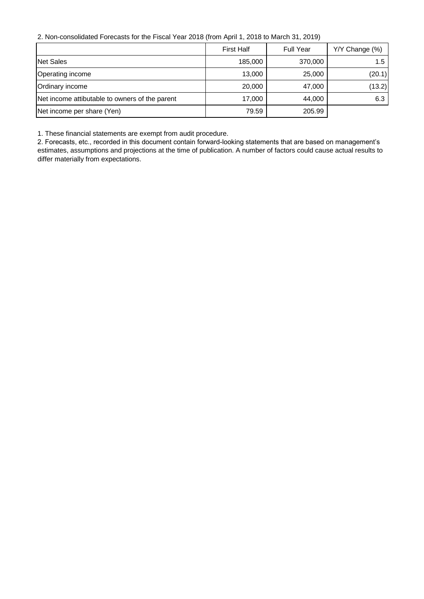2. Non-consolidated Forecasts for the Fiscal Year 2018 (from April 1, 2018 to March 31, 2019)

|                                                | <b>First Half</b> | <b>Full Year</b> | Y/Y Change (%) |
|------------------------------------------------|-------------------|------------------|----------------|
| Net Sales                                      | 185,000           | 370,000          | 1.5            |
| Operating income                               | 13,000            | 25,000           | (20.1)         |
| Ordinary income                                | 20,000            | 47,000           | (13.2)         |
| Net income attibutable to owners of the parent | 17,000            | 44,000           | 6.3            |
| Net income per share (Yen)                     | 79.59             | 205.99           |                |

1. These financial statements are exempt from audit procedure.

2. Forecasts, etc., recorded in this document contain forward-looking statements that are based on management's estimates, assumptions and projections at the time of publication. A number of factors could cause actual results to differ materially from expectations.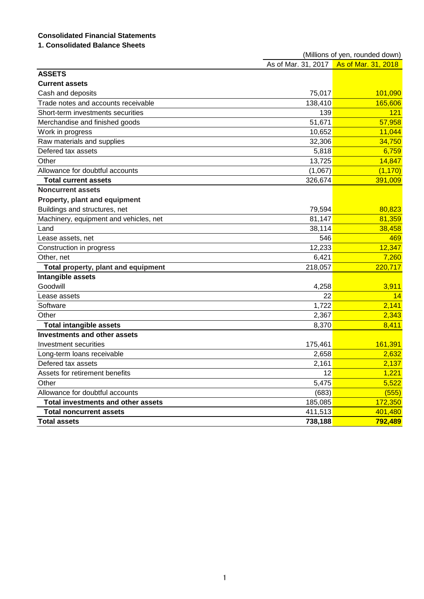# **Consolidated Financial Statements**

# **1. Consolidated Balance Sheets**

|                                           | (Millions of yen, rounded down) |                                         |  |
|-------------------------------------------|---------------------------------|-----------------------------------------|--|
|                                           |                                 | As of Mar. 31, 2017 As of Mar. 31, 2018 |  |
| <b>ASSETS</b>                             |                                 |                                         |  |
| <b>Current assets</b>                     |                                 |                                         |  |
| Cash and deposits                         | 75,017                          | 101,090                                 |  |
| Trade notes and accounts receivable       | 138,410                         | 165,606                                 |  |
| Short-term investments securities         | 139                             | 121                                     |  |
| Merchandise and finished goods            | 51,671                          | 57,958                                  |  |
| Work in progress                          | 10,652                          | 11,044                                  |  |
| Raw materials and supplies                | 32,306                          | 34,750                                  |  |
| Defered tax assets                        | 5,818                           | 6,759                                   |  |
| Other                                     | 13,725                          | 14,847                                  |  |
| Allowance for doubtful accounts           | (1,067)                         | (1, 170)                                |  |
| <b>Total current assets</b>               | 326,674                         | 391,009                                 |  |
| <b>Noncurrent assets</b>                  |                                 |                                         |  |
| Property, plant and equipment             |                                 |                                         |  |
| Buildings and structures, net             | 79,594                          | 80,823                                  |  |
| Machinery, equipment and vehicles, net    | 81,147                          | 81,359                                  |  |
| Land                                      | 38,114                          | 38,458                                  |  |
| Lease assets, net                         | 546                             | 469                                     |  |
| Construction in progress                  | 12,233                          | 12,347                                  |  |
| Other, net                                | 6,421                           | 7,260                                   |  |
| Total property, plant and equipment       | 218,057                         | 220,717                                 |  |
| Intangible assets                         |                                 |                                         |  |
| Goodwill                                  | 4,258                           | 3,911                                   |  |
| Lease assets                              | 22                              | 14                                      |  |
| Software                                  | 1,722                           | 2,141                                   |  |
| Other                                     | 2,367                           | 2,343                                   |  |
| <b>Total intangible assets</b>            | 8,370                           | 8,411                                   |  |
| <b>Investments and other assets</b>       |                                 |                                         |  |
| Investment securities                     | 175,461                         | 161,391                                 |  |
| Long-term loans receivable                | 2,658                           | 2,632                                   |  |
| Defered tax assets                        | 2,161                           | 2,137                                   |  |
| Assets for retirement benefits            | 12                              | 1,221                                   |  |
| Other                                     | 5,475                           | 5,522                                   |  |
| Allowance for doubtful accounts           | (683)                           | (555)                                   |  |
| <b>Total investments and other assets</b> | 185,085                         | 172,350                                 |  |
| <b>Total noncurrent assets</b>            | 411,513                         | 401,480                                 |  |
| <b>Total assets</b>                       | 738,188                         | 792,489                                 |  |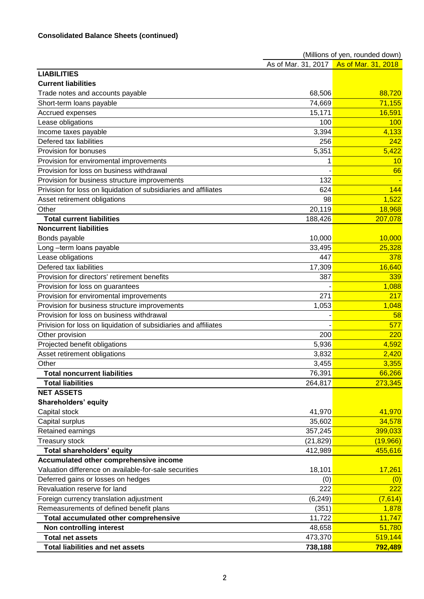|                                                                  |           | (Millions of yen, rounded down)         |
|------------------------------------------------------------------|-----------|-----------------------------------------|
|                                                                  |           | As of Mar. 31, 2017 As of Mar. 31, 2018 |
| <b>LIABILITIES</b>                                               |           |                                         |
| <b>Current liabilities</b>                                       |           |                                         |
| Trade notes and accounts payable                                 | 68,506    | 88,720                                  |
| Short-term loans payable                                         | 74,669    | 71,155                                  |
| Accrued expenses                                                 | 15,171    | 16,591                                  |
| Lease obligations                                                | 100       | 100                                     |
| Income taxes payable                                             | 3,394     | 4,133                                   |
| Defered tax liabilities                                          | 256       | 242                                     |
| Provision for bonuses                                            | 5,351     | 5,422                                   |
| Provision for enviromental improvements                          | 1         | 10                                      |
| Provision for loss on business withdrawal                        |           | 66                                      |
| Provision for business structure improvements                    | 132       |                                         |
| Privision for loss on liquidation of subsidiaries and affiliates | 624       | 144                                     |
| Asset retirement obligations                                     | 98        | 1,522                                   |
| Other                                                            | 20,119    | 18,968                                  |
| <b>Total current liabilities</b>                                 | 188,426   | 207,078                                 |
| <b>Noncurrent liabilities</b>                                    |           |                                         |
| Bonds payable                                                    | 10,000    | 10,000                                  |
| Long-term loans payable                                          | 33,495    | 25,328                                  |
| Lease obligations                                                | 447       | 378                                     |
| Defered tax liabilities                                          | 17,309    | 16,640                                  |
| Provision for directors' retirement benefits                     | 387       | 339                                     |
| Provision for loss on guarantees                                 |           | 1,088                                   |
| Provision for enviromental improvements                          | 271       | 217                                     |
| Provision for business structure improvements                    | 1,053     | 1,048                                   |
| Provision for loss on business withdrawal                        |           | 58                                      |
| Privision for loss on liquidation of subsidiaries and affiliates |           | 577                                     |
| Other provision                                                  | 200       | 220                                     |
| Projected benefit obligations                                    | 5,936     | 4,592                                   |
| Asset retirement obligations                                     | 3,832     | 2,420                                   |
| Other                                                            | 3,455     | 3,355                                   |
| <b>Total noncurrent liabilities</b>                              | 76,391    | 66,266                                  |
| <b>Total liabilities</b>                                         | 264,817   | 273,345                                 |
| <b>NET ASSETS</b>                                                |           |                                         |
| Shareholders' equity                                             |           |                                         |
| Capital stock                                                    | 41,970    | 41,970                                  |
| Capital surplus                                                  | 35,602    | 34,578                                  |
| Retained earnings                                                | 357,245   | 399,033                                 |
| <b>Treasury stock</b>                                            | (21, 829) | (19,966)                                |
| Total shareholders' equity                                       | 412,989   | 455,616                                 |
| Accumulated other comprehensive income                           |           |                                         |
| Valuation difference on available-for-sale securities            | 18,101    | 17,261                                  |
| Deferred gains or losses on hedges                               | (0)       | (0)                                     |
| Revaluation reserve for land                                     | 222       | 222                                     |
| Foreign currency translation adjustment                          | (6, 249)  | (7,614)                                 |
| Remeasurements of defined benefit plans                          | (351)     | 1,878                                   |
| Total accumulated other comprehensive                            | 11,722    | 11,747                                  |
| Non controlling interest                                         | 48,658    | 51,780                                  |
| <b>Total net assets</b>                                          | 473,370   | 519,144                                 |
| <b>Total liabilities and net assets</b>                          | 738,188   | 792,489                                 |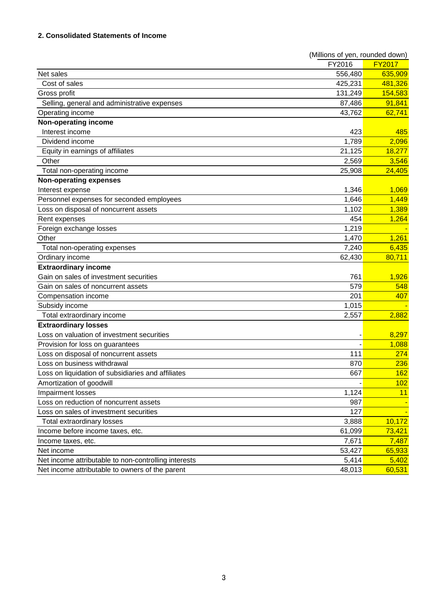## **2. Consolidated Statements of Income**

|                                                      | (Millions of yen, rounded down) |               |
|------------------------------------------------------|---------------------------------|---------------|
|                                                      | FY2016                          | <b>FY2017</b> |
| Net sales                                            | 556,480                         | 635,909       |
| Cost of sales                                        | 425,231                         | 481,326       |
| Gross profit                                         | 131,249                         | 154,583       |
| Selling, general and administrative expenses         | 87,486                          | 91,841        |
| Operating income                                     | 43,762                          | 62,741        |
| Non-operating income                                 |                                 |               |
| Interest income                                      | 423                             | 485           |
| Dividend income                                      | 1,789                           | 2,096         |
| Equity in earnings of affiliates                     | 21,125                          | 18,277        |
| Other                                                | 2,569                           | 3,546         |
| Total non-operating income                           | 25,908                          | 24,405        |
| <b>Non-operating expenses</b>                        |                                 |               |
| Interest expense                                     | 1,346                           | 1,069         |
| Personnel expenses for seconded employees            | 1,646                           | 1,449         |
| Loss on disposal of noncurrent assets                | 1,102                           | 1,389         |
| Rent expenses                                        | 454                             | 1,264         |
| Foreign exchange losses                              | 1,219                           |               |
| Other                                                | 1,470                           | 1,261         |
| Total non-operating expenses                         | 7,240                           | 6,435         |
| Ordinary income                                      | 62,430                          | 80,711        |
| <b>Extraordinary income</b>                          |                                 |               |
| Gain on sales of investment securities               | 761                             | 1,926         |
| Gain on sales of noncurrent assets                   | 579                             | 548           |
| Compensation income                                  | 201                             | 407           |
| Subsidy income                                       | 1,015                           |               |
| Total extraordinary income                           | 2,557                           | 2,882         |
| <b>Extraordinary losses</b>                          |                                 |               |
| Loss on valuation of investment securities           |                                 | 8,297         |
| Provision for loss on guarantees                     |                                 | 1,088         |
| Loss on disposal of noncurrent assets                | 111                             | 274           |
| Loss on business withdrawal                          | 870                             | 236           |
| Loss on liquidation of subsidiaries and affiliates   | 667                             | 162           |
| Amortization of goodwill                             |                                 | 102           |
| Impairment losses                                    | 1,124                           | 11            |
| Loss on reduction of noncurrent assets               | 987                             |               |
| Loss on sales of investment securities               | 127                             |               |
| Total extraordinary losses                           | 3,888                           | 10,172        |
| Income before income taxes, etc.                     | 61,099                          | 73,421        |
| Income taxes, etc.                                   | 7,671                           | 7,487         |
| Net income                                           | 53,427                          | 65,933        |
| Net income attributable to non-controlling interests | 5,414                           | 5,402         |
| Net income attributable to owners of the parent      | 48,013                          | 60,531        |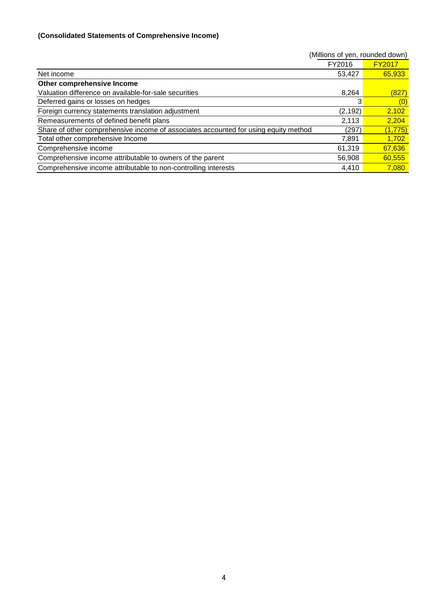# **(Consolidated Statements of Comprehensive Income)**

|                                                                                     | (Millions of yen, rounded down) |               |
|-------------------------------------------------------------------------------------|---------------------------------|---------------|
|                                                                                     | FY2016                          | <b>FY2017</b> |
| Net income                                                                          | 53,427                          | 65,933        |
| Other comprehensive Income                                                          |                                 |               |
| Valuation difference on available-for-sale securities                               | 8.264                           | (827)         |
| Deferred gains or losses on hedges                                                  |                                 | (0)           |
| Foreign currency statements translation adjustment                                  | (2, 192)                        | 2,102         |
| Remeasurements of defined benefit plans                                             | 2,113                           | 2,204         |
| Share of other comprehensive income of associates accounted for using equity method | (297)                           | (1, 775)      |
| Total other comprehensive Income                                                    | 7,891                           | 1,702         |
| Comprehensive income                                                                | 61,319                          | 67,636        |
| Comprehensive income attributable to owners of the parent                           | 56,908                          | 60,555        |
| Comprehensive income attributable to non-controlling interests                      | 4,410                           | 7,080         |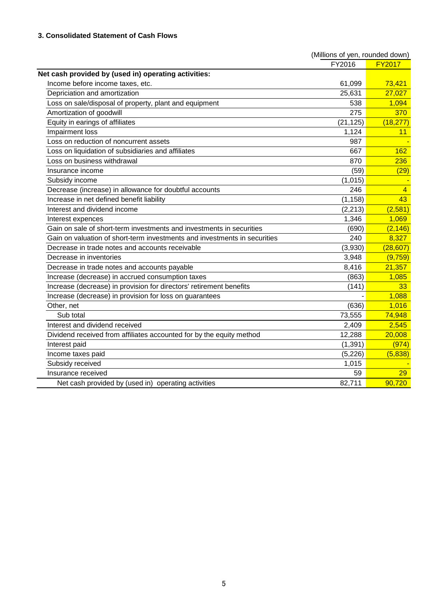|                                                                           | (Millions of yen, rounded down) |                |
|---------------------------------------------------------------------------|---------------------------------|----------------|
|                                                                           | FY2016                          | <b>FY2017</b>  |
| Net cash provided by (used in) operating activities:                      |                                 |                |
| Income before income taxes, etc.                                          | 61,099                          | 73,421         |
| Depriciation and amortization                                             | 25,631                          | 27,027         |
| Loss on sale/disposal of property, plant and equipment                    | 538                             | 1,094          |
| Amortization of goodwill                                                  | 275                             | 370            |
| Equity in earings of affiliates                                           | (21, 125)                       | (18, 277)      |
| Impairment loss                                                           | 1,124                           | 11             |
| loss on reduction of noncurrent assets                                    | 987                             |                |
| Loss on liquidation of subsidiaries and affiliates                        | 667                             | 162            |
| oss on business withdrawal                                                | 870                             | 236            |
| Insurance income                                                          | (59)                            | (29)           |
| Subsidy income                                                            | (1,015)                         |                |
| Decrease (increase) in allowance for doubtful accounts                    | 246                             | $\overline{4}$ |
| Increase in net defined benefit liability                                 | (1, 158)                        | 43             |
| Interest and dividend income                                              | (2, 213)                        | (2,581)        |
| Interest expences                                                         | 1,346                           | 1,069          |
| Gain on sale of short-term investments and investments in securities      | (690)                           | (2, 146)       |
| Gain on valuation of short-term investments and investments in securities | 240                             | 8,327          |
| Decrease in trade notes and accounts receivable                           | (3,930)                         | (28, 607)      |
| Decrease in inventories                                                   | 3,948                           | (9,759)        |
| Decrease in trade notes and accounts payable                              | 8,416                           | 21,357         |
| Increase (decrease) in accrued consumption taxes                          | (863)                           | 1,085          |
| Increase (decrease) in provision for directors' retirement benefits       | (141)                           | 33             |
| Increase (decrease) in provision for loss on guarantees                   |                                 | 1,088          |
| Other, net                                                                | (636)                           | 1,016          |
| Sub total                                                                 | 73,555                          | 74,948         |
| Interest and dividend received                                            | 2,409                           | 2,545          |
| Dividend received from affiliates accounted for by the equity method      | 12,288                          | 20,008         |
| Interest paid                                                             | (1, 391)                        | (974)          |
| Income taxes paid                                                         | (5, 226)                        | (5,838)        |
| Subsidy received                                                          | 1,015                           |                |
| Insurance received                                                        | 59                              | 29             |
| Net cash provided by (used in) operating activities                       | 82,711                          | 90,720         |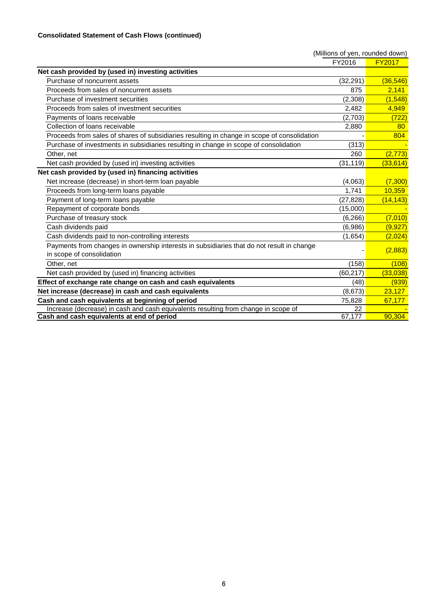|                                                                                                                        | (Millions of yen, rounded down) |               |
|------------------------------------------------------------------------------------------------------------------------|---------------------------------|---------------|
|                                                                                                                        | FY2016                          | <b>FY2017</b> |
| Net cash provided by (used in) investing activities                                                                    |                                 |               |
| Purchase of noncurrent assets                                                                                          | (32, 291)                       | (36, 546)     |
| Proceeds from sales of noncurrent assets                                                                               | 875                             | 2,141         |
| Purchase of investment securities                                                                                      | (2,308)                         | (1, 548)      |
| Proceeds from sales of investment securities                                                                           | 2,482                           | 4,949         |
| Payments of loans receivable                                                                                           | (2,703)                         | (722)         |
| Collection of loans receivable                                                                                         | 2,880                           | 80            |
| Proceeds from sales of shares of subsidiaries resulting in change in scope of consolidation                            |                                 | 804           |
| Purchase of investments in subsidiaries resulting in change in scope of consolidation                                  | (313)                           |               |
| Other, net                                                                                                             | 260                             | (2, 773)      |
| Net cash provided by (used in) investing activities                                                                    | (31, 119)                       | (33, 614)     |
| Net cash provided by (used in) financing activities                                                                    |                                 |               |
| Net increase (decrease) in short-term loan payable                                                                     | (4,063)                         | (7, 300)      |
| Proceeds from long-term loans payable                                                                                  | 1.741                           | 10,359        |
| Payment of long-term loans payable                                                                                     | (27,828)                        | (14, 143)     |
| Repayment of corporate bonds                                                                                           | (15,000)                        |               |
| Purchase of treasury stock                                                                                             | (6, 266)                        | (7,010)       |
| Cash dividends paid                                                                                                    | (6,986)                         | (9, 927)      |
| Cash dividends paid to non-controlling interests                                                                       | (1,654)                         | (2,024)       |
| Payments from changes in ownership interests in subsidiaries that do not result in change<br>in scope of consolidation |                                 | (2,883)       |
| Other, net                                                                                                             | (158)                           | (108)         |
| Net cash provided by (used in) financing activities                                                                    | (60, 217)                       | (33,038)      |
| Effect of exchange rate change on cash and cash equivalents                                                            | (48)                            | (939)         |
| Net increase (decrease) in cash and cash equivalents                                                                   | (8,673)                         | 23,127        |
| Cash and cash equivalents at beginning of period                                                                       | 75,828                          | 67,177        |
| Increase (decrease) in cash and cash equivalents resulting from change in scope of                                     | 22                              |               |
| Cash and cash equivalents at end of period                                                                             | 67,177                          | 90,304        |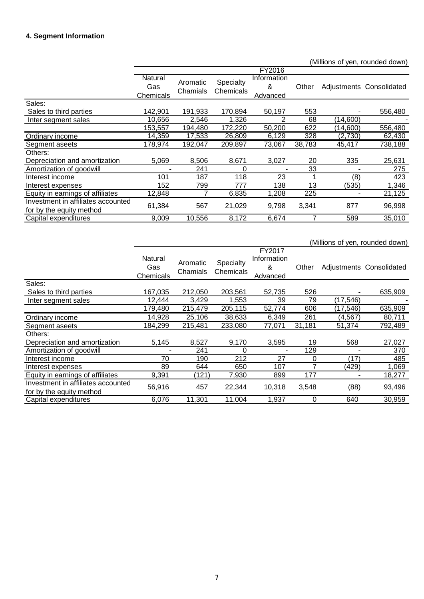# **4. Segment Information**

(Millions of yen, rounded down)

|                                                                |                             |                      |                        | FY2016                       |        |          |                          |
|----------------------------------------------------------------|-----------------------------|----------------------|------------------------|------------------------------|--------|----------|--------------------------|
|                                                                | Natural<br>Gas<br>Chemicals | Aromatic<br>Chamials | Specialty<br>Chemicals | Information<br>&<br>Advanced | Other  |          | Adjustments Consolidated |
| Sales:                                                         |                             |                      |                        |                              |        |          |                          |
| Sales to third parties                                         | 142,901                     | 191,933              | 170,894                | 50,197                       | 553    |          | 556,480                  |
| Inter segment sales                                            | 10,656                      | 2,546                | 1.326                  | 2                            | 68     | (14,600) |                          |
|                                                                | 153,557                     | 194,480              | 172,220                | 50,200                       | 622    | (14,600) | 556,480                  |
| Ordinary income                                                | 14,359                      | 17,533               | 26,809                 | 6,129                        | 328    | (2,730)  | 62,430                   |
| Segment aseets                                                 | 178,974                     | 192,047              | 209,897                | 73,067                       | 38,783 | 45,417   | 738,188                  |
| Others:                                                        |                             |                      |                        |                              |        |          |                          |
| Depreciation and amortization                                  | 5,069                       | 8,506                | 8,671                  | 3,027                        | 20     | 335      | 25,631                   |
| Amortization of goodwill                                       |                             | 241                  | 0                      |                              | 33     |          | 275                      |
| Interest income                                                | 101                         | 187                  | 118                    | 23                           |        | (8)      | 423                      |
| Interest expenses                                              | 152                         | 799                  | 777                    | 138                          | 13     | (535)    | 1,346                    |
| Equity in earnings of affiliates                               | 12,848                      |                      | 6,835                  | 1,208                        | 225    |          | 21,125                   |
| Investment in affiliates accounted<br>for by the equity method | 61,384                      | 567                  | 21,029                 | 9,798                        | 3,341  | 877      | 96,998                   |
| Capital expenditures                                           | 9,009                       | 10,556               | 8,172                  | 6,674                        |        | 589      | 35,010                   |

|                                    |                             |                      |                        |                              |        |           | (Millions of yen, rounded down) |
|------------------------------------|-----------------------------|----------------------|------------------------|------------------------------|--------|-----------|---------------------------------|
|                                    |                             |                      |                        | FY2017                       |        |           |                                 |
|                                    | Natural<br>Gas<br>Chemicals | Aromatic<br>Chamials | Specialty<br>Chemicals | Information<br>&<br>Advanced | Other  |           | Adjustments Consolidated        |
| Sales:                             |                             |                      |                        |                              |        |           |                                 |
| Sales to third parties             | 167,035                     | 212,050              | 203,561                | 52,735                       | 526    |           | 635,909                         |
| Inter segment sales                | 12,444                      | 3,429                | 1,553                  | 39                           | 79     | (17, 546) |                                 |
|                                    | 179,480                     | 215,479              | 205,115                | 52,774                       | 606    | (17, 546) | 635,909                         |
| Ordinary income                    | 14,928                      | 25,106               | 38,633                 | 6,349                        | 261    | (4,567)   | 80,711                          |
| Segment aseets                     | 184,299                     | 215,481              | 233,080                | 77,071                       | 31,181 | 51,374    | 792,489                         |
| Others:                            |                             |                      |                        |                              |        |           |                                 |
| Depreciation and amortization      | 5,145                       | 8,527                | 9,170                  | 3,595                        | 19     | 568       | 27,027                          |
| Amortization of goodwill           |                             | 241                  | 0                      |                              | 129    |           | 370                             |
| Interest income                    | 70                          | 190                  | 212                    | 27                           | 0      | (17)      | 485                             |
| Interest expenses                  | 89                          | 644                  | 650                    | 107                          |        | (429)     | 1,069                           |
| Equity in earnings of affiliates   | 9,391                       | (121)                | 7,930                  | 899                          | 177    |           | 18,277                          |
| Investment in affiliates accounted | 56,916                      | 457                  | 22,344                 | 10,318                       | 3,548  | (88)      | 93,496                          |
| for by the equity method           |                             |                      |                        |                              |        |           |                                 |
| Capital expenditures               | 6,076                       | 11,301               | 11,004                 | 1,937                        | 0      | 640       | 30,959                          |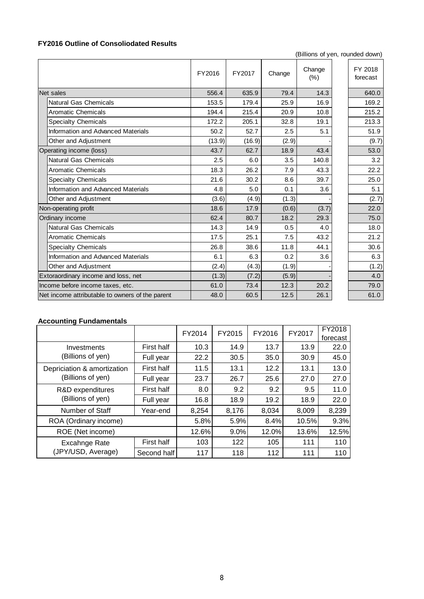# **FY2016 Outline of Consoliodated Results**

(Billions of yen, rounded down)

|                                                 | FY2016 | FY2017 | Change | Change<br>(% ) | FY 2018<br>forecast |
|-------------------------------------------------|--------|--------|--------|----------------|---------------------|
| Net sales                                       | 556.4  | 635.9  | 79.4   | 14.3           | 640.0               |
| <b>Natural Gas Chemicals</b>                    | 153.5  | 179.4  | 25.9   | 16.9           | 169.2               |
| <b>Aromatic Chemicals</b>                       | 194.4  | 215.4  | 20.9   | 10.8           | 215.2               |
| <b>Specialty Chemicals</b>                      | 172.2  | 205.1  | 32.8   | 19.1           | 213.3               |
| Information and Advanced Materials              | 50.2   | 52.7   | 2.5    | 5.1            | 51.9                |
| Other and Adjustment                            | (13.9) | (16.9) | (2.9)  |                | (9.7)               |
| Operating income (loss)                         | 43.7   | 62.7   | 18.9   | 43.4           | 53.0                |
| <b>Natural Gas Chemicals</b>                    | 2.5    | 6.0    | 3.5    | 140.8          | 3.2                 |
| <b>Aromatic Chemicals</b>                       | 18.3   | 26.2   | 7.9    | 43.3           | 22.2                |
| <b>Specialty Chemicals</b>                      | 21.6   | 30.2   | 8.6    | 39.7           | 25.0                |
| Information and Advanced Materials              | 4.8    | 5.0    | 0.1    | 3.6            | 5.1                 |
| Other and Adjustment                            | (3.6)  | (4.9)  | (1.3)  |                | (2.7)               |
| Non-operating profit                            | 18.6   | 17.9   | (0.6)  | (3.7)          | 22.0                |
| Ordinary income                                 | 62.4   | 80.7   | 18.2   | 29.3           | 75.0                |
| <b>Natural Gas Chemicals</b>                    | 14.3   | 14.9   | 0.5    | 4.0            | 18.0                |
| <b>Aromatic Chemicals</b>                       | 17.5   | 25.1   | 7.5    | 43.2           | 21.2                |
| <b>Specialty Chemicals</b>                      | 26.8   | 38.6   | 11.8   | 44.1           | 30.6                |
| Information and Advanced Materials              | 6.1    | 6.3    | 0.2    | 3.6            | 6.3                 |
| Other and Adjustment                            | (2.4)  | (4.3)  | (1.9)  |                | (1.2)               |
| Extoraordinary income and loss, net             | (1.3)  | (7.2)  | (5.9)  |                | 4.0                 |
| Income before income taxes, etc.                | 61.0   | 73.4   | 12.3   | 20.2           | 79.0                |
| Net income attributable to owners of the parent | 48.0   | 60.5   | 12.5   | 26.1           | 61.0                |

## **Accounting Fundamentals**

|                             |             | FY2014 | FY2015  | FY2016 | FY2017 | <b>FY2018</b> |
|-----------------------------|-------------|--------|---------|--------|--------|---------------|
|                             |             |        |         |        |        | forecast      |
| Investments                 | First half  | 10.3   | 14.9    | 13.7   | 13.9   | 22.0          |
| (Billions of yen)           | Full year   | 22.2   | 30.5    | 35.0   | 30.9   | 45.0          |
| Depriciation & amortization | First half  | 11.5   | 13.1    | 12.2   | 13.1   | 13.0          |
| (Billions of yen)           | Full year   | 23.7   | 26.7    | 25.6   | 27.0   | 27.0          |
| R&D expenditures            | First half  | 8.0    | 9.2     | 9.2    | 9.5    | 11.0          |
| (Billions of yen)           | Full year   | 16.8   | 18.9    | 19.2   | 18.9   | 22.0          |
| Number of Staff             | Year-end    | 8,254  | 8,176   | 8,034  | 8,009  | 8,239         |
| ROA (Ordinary income)       |             | 5.8%   | 5.9%    | 8.4%   | 10.5%  | 9.3%          |
| ROE (Net income)            |             | 12.6%  | $9.0\%$ | 12.0%  | 13.6%  | 12.5%         |
| Excahnge Rate               | First half  | 103    | 122     | 105    | 111    | 110           |
| (JPY/USD, Average)          | Second half | 117    | 118     | 112    | 111    | 110           |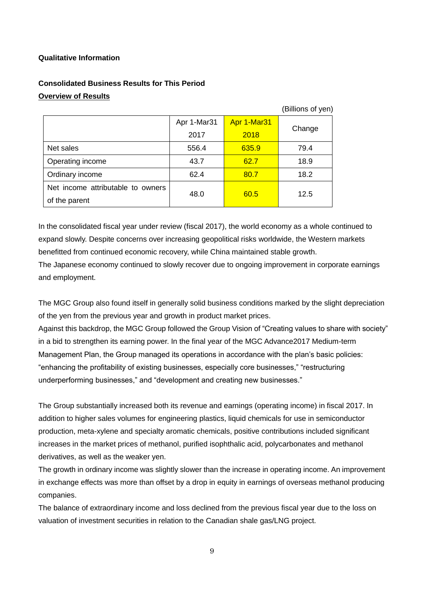## **Qualitative Information**

# **Consolidated Business Results for This Period Overview of Results**

|                                   |             |             | (Billions of yen) |
|-----------------------------------|-------------|-------------|-------------------|
|                                   | Apr 1-Mar31 | Apr 1-Mar31 |                   |
|                                   | 2017        | 2018        | Change            |
| Net sales                         | 556.4       | 635.9       | 79.4              |
| Operating income                  | 43.7        | 62.7        | 18.9              |
| Ordinary income                   | 62.4        | 80.7        | 18.2              |
| Net income attributable to owners | 48.0        | 60.5        | 12.5              |
| of the parent                     |             |             |                   |

In the consolidated fiscal year under review (fiscal 2017), the world economy as a whole continued to expand slowly. Despite concerns over increasing geopolitical risks worldwide, the Western markets benefitted from continued economic recovery, while China maintained stable growth. The Japanese economy continued to slowly recover due to ongoing improvement in corporate earnings and employment.

The MGC Group also found itself in generally solid business conditions marked by the slight depreciation of the yen from the previous year and growth in product market prices.

Against this backdrop, the MGC Group followed the Group Vision of "Creating values to share with society" in a bid to strengthen its earning power. In the final year of the MGC Advance2017 Medium-term Management Plan, the Group managed its operations in accordance with the plan's basic policies: "enhancing the profitability of existing businesses, especially core businesses," "restructuring underperforming businesses," and "development and creating new businesses."

The Group substantially increased both its revenue and earnings (operating income) in fiscal 2017. In addition to higher sales volumes for engineering plastics, liquid chemicals for use in semiconductor production, meta-xylene and specialty aromatic chemicals, positive contributions included significant increases in the market prices of methanol, purified isophthalic acid, polycarbonates and methanol derivatives, as well as the weaker yen.

The growth in ordinary income was slightly slower than the increase in operating income. An improvement in exchange effects was more than offset by a drop in equity in earnings of overseas methanol producing companies.

The balance of extraordinary income and loss declined from the previous fiscal year due to the loss on valuation of investment securities in relation to the Canadian shale gas/LNG project.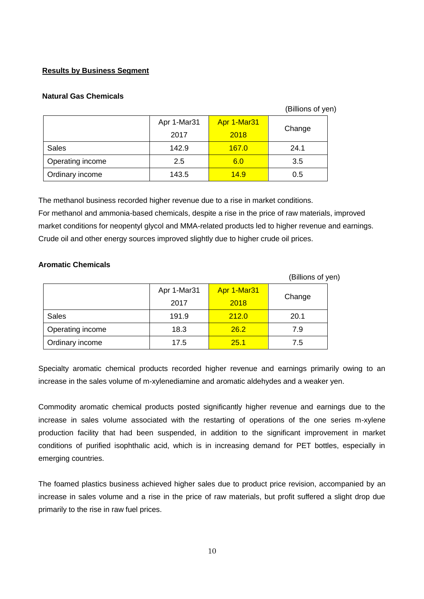## **Results by Business Segment**

## **Natural Gas Chemicals**

#### (Billions of yen)

|                  | Apr 1-Mar31 | Apr 1-Mar31  |        |
|------------------|-------------|--------------|--------|
|                  | 2017        | 2018         | Change |
| <b>Sales</b>     | 142.9       | <b>167.0</b> | 24.1   |
| Operating income | 2.5         | 6.0          | 3.5    |
| Ordinary income  | 143.5       | 14.9         | 0.5    |

The methanol business recorded higher revenue due to a rise in market conditions. For methanol and ammonia-based chemicals, despite a rise in the price of raw materials, improved market conditions for neopentyl glycol and MMA-related products led to higher revenue and earnings. Crude oil and other energy sources improved slightly due to higher crude oil prices.

## **Aromatic Chemicals**

|                  |             |             | (Billions of yen) |  |
|------------------|-------------|-------------|-------------------|--|
|                  | Apr 1-Mar31 | Apr 1-Mar31 |                   |  |
|                  | 2017        | 2018        | Change            |  |
| <b>Sales</b>     | 191.9       | 212.0       | 20.1              |  |
| Operating income | 18.3        | 26.2        | 7.9               |  |
| Ordinary income  | 17.5        | 25.1        | 7.5               |  |

Specialty aromatic chemical products recorded higher revenue and earnings primarily owing to an increase in the sales volume of m-xylenediamine and aromatic aldehydes and a weaker yen.

Commodity aromatic chemical products posted significantly higher revenue and earnings due to the increase in sales volume associated with the restarting of operations of the one series m-xylene production facility that had been suspended, in addition to the significant improvement in market conditions of purified isophthalic acid, which is in increasing demand for PET bottles, especially in emerging countries.

The foamed plastics business achieved higher sales due to product price revision, accompanied by an increase in sales volume and a rise in the price of raw materials, but profit suffered a slight drop due primarily to the rise in raw fuel prices.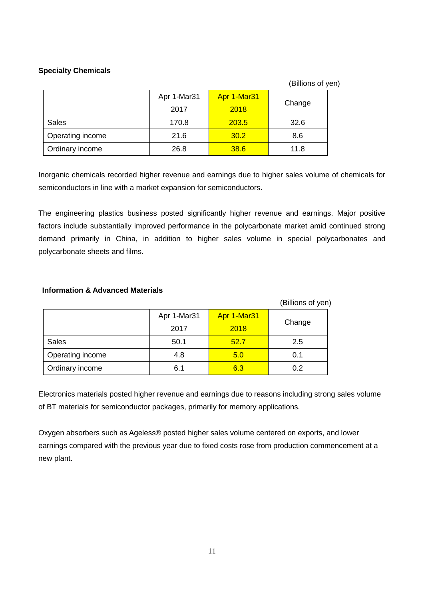# **Specialty Chemicals**

(Billions of yen)

|                  | Apr 1-Mar31 | Apr 1-Mar31 |        |
|------------------|-------------|-------------|--------|
|                  | 2017        | 2018        | Change |
| <b>Sales</b>     | 170.8       | 203.5       | 32.6   |
| Operating income | 21.6        | 30.2        | 8.6    |
| Ordinary income  | 26.8        | 38.6        | 11.8   |

Inorganic chemicals recorded higher revenue and earnings due to higher sales volume of chemicals for semiconductors in line with a market expansion for semiconductors.

The engineering plastics business posted significantly higher revenue and earnings. Major positive factors include substantially improved performance in the polycarbonate market amid continued strong demand primarily in China, in addition to higher sales volume in special polycarbonates and polycarbonate sheets and films.

## **Information & Advanced Materials**

|                  |             |             | (Billions of yen) |
|------------------|-------------|-------------|-------------------|
|                  | Apr 1-Mar31 | Apr 1-Mar31 |                   |
|                  | 2017        | 2018        | Change            |
| <b>Sales</b>     | 50.1        | 52.7        | 2.5               |
| Operating income | 4.8         | 5.0         | 0.1               |
| Ordinary income  | 6.1         | 6.3         | 0.2               |

Electronics materials posted higher revenue and earnings due to reasons including strong sales volume of BT materials for semiconductor packages, primarily for memory applications.

Oxygen absorbers such as Ageless® posted higher sales volume centered on exports, and lower earnings compared with the previous year due to fixed costs rose from production commencement at a new plant.